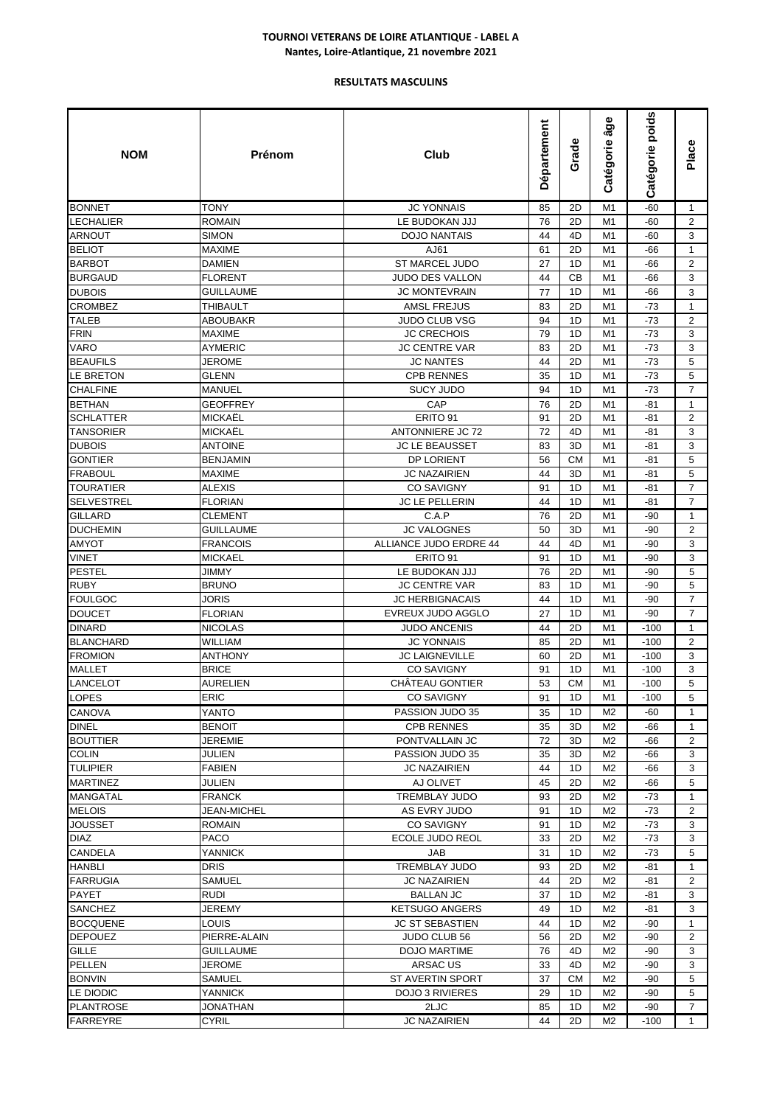| <b>TONY</b><br><b>JC YONNAIS</b><br>M1<br>$-60$<br>$\mathbf{1}$<br><b>BONNET</b><br>85<br>2D<br>$\mathbf{2}$<br>LECHALIER<br><b>ROMAIN</b><br>LE BUDOKAN JJJ<br>76<br>2D<br>$-60$<br>M1<br>ARNOUT<br><b>SIMON</b><br><b>DOJO NANTAIS</b><br>44<br>4D<br>M1<br>$-60$<br>3<br><b>BELIOT</b><br>61<br>2D<br><b>MAXIME</b><br>AJ61<br>M1<br>-66<br>$\mathbf{1}$<br>2<br><b>BARBOT</b><br><b>DAMIEN</b><br><b>ST MARCEL JUDO</b><br>27<br>M <sub>1</sub><br>-66<br>1D<br><b>BURGAUD</b><br><b>FLORENT</b><br><b>JUDO DES VALLON</b><br>44<br>СB<br>3<br>M1<br>-66<br>Dubois<br><b>GUILLAUME</b><br><b>JC MONTEVRAIN</b><br>3<br>77<br>1D<br>M1<br>-66<br><b>CROMBEZ</b><br><b>AMSL FREJUS</b><br>2D<br>THIBAULT<br>83<br>M1<br>-73<br>$\mathbf{1}$<br>TALEB<br><b>JUDO CLUB VSG</b><br>94<br>1D<br>2<br><b>ABOUBAKR</b><br>M1<br>-73<br>FRIN<br><b>MAXIME</b><br><b>JC CRECHOIS</b><br>79<br>1D<br>3<br>M1<br>-73<br>VARO<br><b>AYMERIC</b><br><b>JC CENTRE VAR</b><br>83<br>2D<br>$-73$<br>3<br>M1<br>2D<br>5<br><b>BEAUFILS</b><br>JEROME<br><b>JC NANTES</b><br>44<br>M1<br>$-73$<br>5<br>LE BRETON<br><b>CPB RENNES</b><br>35<br>1D<br>$-73$<br><b>GLENN</b><br>M1<br>$\overline{7}$<br><b>SUCY JUDO</b><br>$-73$<br>CHALFINE<br><b>MANUEL</b><br>94<br>1D<br>M <sub>1</sub><br>CAP<br><b>BETHAN</b><br><b>GEOFFREY</b><br>76<br>2D<br>$\mathbf{1}$<br>M1<br>-81<br>$\mathbf{2}$<br>SCHLATTER<br><b>MICKAEL</b><br>ERITO 91<br>91<br>2D<br>M1<br>-81<br><b>TANSORIER</b><br><b>MICKAEL</b><br><b>ANTONNIERE JC 72</b><br>72<br>4D<br>3<br>M1<br>-81<br>3<br>Dubois<br><b>ANTOINE</b><br><b>JC LE BEAUSSET</b><br>83<br>3D<br>M1<br>-81<br>5<br>GONTIER<br><b>BENJAMIN</b><br>DP LORIENT<br>56<br><b>CM</b><br>M1<br>$-81$<br>5<br>FRABOUL<br><b>MAXIME</b><br><b>JC NAZAIRIEN</b><br>44<br>3D<br>M1<br>-81<br>TOURATIER<br><b>ALEXIS</b><br><b>CO SAVIGNY</b><br>91<br>1D<br>M1<br>-81<br>7<br><b>SELVESTREL</b><br><b>FLORIAN</b><br><b>JC LE PELLERIN</b><br>44<br>1D<br>7<br>M1<br>-81<br>GILLARD<br>C.A.P<br>76<br>2D<br>M1<br>$-90$<br>$\mathbf{1}$<br><b>CLEMENT</b><br>$\overline{2}$<br>DUCHEMIN<br><b>GUILLAUME</b><br><b>JC VALOGNES</b><br>3D<br>50<br>M1<br>-90<br>AMYOT<br>ALLIANCE JUDO ERDRE 44<br>44<br>4D<br>M1<br>3<br><b>FRANCOIS</b><br>-90<br>VINET<br>3<br><b>MICKAEL</b><br>ERITO 91<br>91<br>1D<br>M1<br>-90<br>PESTEL<br>5<br><b>JIMMY</b><br>LE BUDOKAN JJJ<br>76<br>2D<br>M <sub>1</sub><br>-90<br><b>RUBY</b><br><b>BRUNO</b><br>5<br><b>JC CENTRE VAR</b><br>83<br>1D<br>$-90$<br>M1<br><b>FOULGOC</b><br>44<br>$\overline{7}$<br><b>JORIS</b><br>JC HERBIGNACAIS<br>1D<br>M <sub>1</sub><br>$-90$<br>DOUCET<br>EVREUX JUDO AGGLO<br>27<br>1D<br>$-90$<br>$\overline{7}$<br><b>FLORIAN</b><br>M1<br>DINARD<br><b>NICOLAS</b><br><b>JUDO ANCENIS</b><br>44<br>2D<br>$-100$<br>M1<br>$\mathbf{1}$<br><b>BLANCHARD</b><br>WILLIAM<br><b>JC YONNAIS</b><br>85<br>2D<br>M1<br>$-100$<br>2<br><b>FROMION</b><br><b>ANTHONY</b><br><b>JC LAIGNEVILLE</b><br>2D<br>$-100$<br>3<br>60<br>M1<br><b>MALLET</b><br><b>BRICE</b><br><b>CO SAVIGNY</b><br>91<br>1D<br>M1<br>3<br>$-100$<br>5<br>LANCELOT<br>AURELIEN<br>CHÂTEAU GONTIER<br>53<br><b>CM</b><br>M1<br>$-100$<br>ERIC<br>1D<br>M1<br>LOPES<br>CO SAVIGNY<br>91<br>$-100$<br>5<br>$\mathbf{1}$<br><b>CANOVA</b><br>YANTO<br>PASSION JUDO 35<br>35<br>1D<br>M <sub>2</sub><br>-60<br><b>DINEL</b><br><b>BENOIT</b><br><b>CPB RENNES</b><br>35<br>3D<br>M <sub>2</sub><br>-66<br>$\mathbf{1}$<br><b>BOUTTIER</b><br>JEREMIE<br>PONTVALLAIN JC<br>72<br>3D<br>M <sub>2</sub><br>2<br>-66<br><b>COLIN</b><br>35<br>3D<br>M <sub>2</sub><br>3<br>JULIEN<br>PASSION JUDO 35<br>-66<br><b>TULIPIER</b><br><b>FABIEN</b><br><b>JC NAZAIRIEN</b><br>44<br>M <sub>2</sub><br>-66<br>3<br>1D<br><b>MARTINEZ</b><br>JULIEN<br>45<br>5<br>AJ OLIVET<br>2D<br>M2<br>-66<br><b>MANGATAL</b><br><b>FRANCK</b><br><b>TREMBLAY JUDO</b><br>93<br>2D<br>M <sub>2</sub><br>$\mathbf{1}$<br>-73<br><b>MELOIS</b><br>M <sub>2</sub><br>JEAN-MICHEL<br>AS EVRY JUDO<br>91<br>1D<br>-73<br>2<br>JOUSSET<br>1D<br>M <sub>2</sub><br><b>ROMAIN</b><br>CO SAVIGNY<br>91<br>-73<br>3<br>DIAZ<br>PACO<br>3<br>ECOLE JUDO REOL<br>33<br>2D<br>M2<br>-73<br>CANDELA<br><b>YANNICK</b><br>JAB<br>31<br>1D<br>M <sub>2</sub><br>$-73$<br>5<br>M <sub>2</sub><br><b>HANBLI</b><br><b>DRIS</b><br><b>TREMBLAY JUDO</b><br>93<br>2D<br>$-81$<br>$\mathbf{1}$<br>2D<br>FARRUGIA<br>SAMUEL<br><b>JC NAZAIRIEN</b><br>44<br>M2<br>-81<br>2<br>PAYET<br><b>RUDI</b><br><b>BALLAN JC</b><br>37<br>M <sub>2</sub><br>3<br>1D<br>-81<br>1D<br>M <sub>2</sub><br>3<br><b>SANCHEZ</b><br>JEREMY<br><b>KETSUGO ANGERS</b><br>49<br>-81<br><b>BOCQUENE</b><br><b>LOUIS</b><br>44<br>1D<br>M <sub>2</sub><br><b>JC ST SEBASTIEN</b><br>-90<br>1<br><b>DEPOUEZ</b><br><b>JUDO CLUB 56</b><br>M <sub>2</sub><br>PIERRE-ALAIN<br>56<br>2D<br>-90<br>2<br>GILLE<br><b>GUILLAUME</b><br>76<br>4D<br>M <sub>2</sub><br>-90<br>3<br>DOJO MARTIME<br>3<br>PELLEN<br>JEROME<br>ARSAC US<br>33<br>4D<br>M <sub>2</sub><br>-90<br><b>BONVIN</b><br>SAMUEL<br>ST AVERTIN SPORT<br>37<br><b>CM</b><br>M <sub>2</sub><br>$-90$<br>5<br>LE DIODIC<br><b>YANNICK</b><br><b>DOJO 3 RIVIERES</b><br>29<br>1D<br>M <sub>2</sub><br>-90<br>5<br><b>PLANTROSE</b><br>$\overline{7}$<br>JONATHAN<br>2LJC<br>85<br>1D<br>M2<br>-90<br>44<br>1 | <b>NOM</b> | Prénom | Club         | Département | Grade | âge<br>Catégorie | Catégorie poids | Place |
|--------------------------------------------------------------------------------------------------------------------------------------------------------------------------------------------------------------------------------------------------------------------------------------------------------------------------------------------------------------------------------------------------------------------------------------------------------------------------------------------------------------------------------------------------------------------------------------------------------------------------------------------------------------------------------------------------------------------------------------------------------------------------------------------------------------------------------------------------------------------------------------------------------------------------------------------------------------------------------------------------------------------------------------------------------------------------------------------------------------------------------------------------------------------------------------------------------------------------------------------------------------------------------------------------------------------------------------------------------------------------------------------------------------------------------------------------------------------------------------------------------------------------------------------------------------------------------------------------------------------------------------------------------------------------------------------------------------------------------------------------------------------------------------------------------------------------------------------------------------------------------------------------------------------------------------------------------------------------------------------------------------------------------------------------------------------------------------------------------------------------------------------------------------------------------------------------------------------------------------------------------------------------------------------------------------------------------------------------------------------------------------------------------------------------------------------------------------------------------------------------------------------------------------------------------------------------------------------------------------------------------------------------------------------------------------------------------------------------------------------------------------------------------------------------------------------------------------------------------------------------------------------------------------------------------------------------------------------------------------------------------------------------------------------------------------------------------------------------------------------------------------------------------------------------------------------------------------------------------------------------------------------------------------------------------------------------------------------------------------------------------------------------------------------------------------------------------------------------------------------------------------------------------------------------------------------------------------------------------------------------------------------------------------------------------------------------------------------------------------------------------------------------------------------------------------------------------------------------------------------------------------------------------------------------------------------------------------------------------------------------------------------------------------------------------------------------------------------------------------------------------------------------------------------------------------------------------------------------------------------------------------------------------------------------------------------------------------------------------------------------------------------------------------------------------------------------------------------------------------------------------------------------------------------------------------------------------------------------------------------------------------------------------------------------------------------------------------------------------------------------------------------------------------------------------------------------------------------------------------------------------------------------------------------------------------------------------------------------------------------------------------------------------------------------------------------------------------------------------------------------------------------------------------------------------------------------------------------------------------------------------------------------------------------------------------------------------------------------|------------|--------|--------------|-------------|-------|------------------|-----------------|-------|
|                                                                                                                                                                                                                                                                                                                                                                                                                                                                                                                                                                                                                                                                                                                                                                                                                                                                                                                                                                                                                                                                                                                                                                                                                                                                                                                                                                                                                                                                                                                                                                                                                                                                                                                                                                                                                                                                                                                                                                                                                                                                                                                                                                                                                                                                                                                                                                                                                                                                                                                                                                                                                                                                                                                                                                                                                                                                                                                                                                                                                                                                                                                                                                                                                                                                                                                                                                                                                                                                                                                                                                                                                                                                                                                                                                                                                                                                                                                                                                                                                                                                                                                                                                                                                                                                                                                                                                                                                                                                                                                                                                                                                                                                                                                                                                                                                                                                                                                                                                                                                                                                                                                                                                                                                                                                                                                                                  |            |        |              |             |       |                  |                 |       |
|                                                                                                                                                                                                                                                                                                                                                                                                                                                                                                                                                                                                                                                                                                                                                                                                                                                                                                                                                                                                                                                                                                                                                                                                                                                                                                                                                                                                                                                                                                                                                                                                                                                                                                                                                                                                                                                                                                                                                                                                                                                                                                                                                                                                                                                                                                                                                                                                                                                                                                                                                                                                                                                                                                                                                                                                                                                                                                                                                                                                                                                                                                                                                                                                                                                                                                                                                                                                                                                                                                                                                                                                                                                                                                                                                                                                                                                                                                                                                                                                                                                                                                                                                                                                                                                                                                                                                                                                                                                                                                                                                                                                                                                                                                                                                                                                                                                                                                                                                                                                                                                                                                                                                                                                                                                                                                                                                  |            |        |              |             |       |                  |                 |       |
|                                                                                                                                                                                                                                                                                                                                                                                                                                                                                                                                                                                                                                                                                                                                                                                                                                                                                                                                                                                                                                                                                                                                                                                                                                                                                                                                                                                                                                                                                                                                                                                                                                                                                                                                                                                                                                                                                                                                                                                                                                                                                                                                                                                                                                                                                                                                                                                                                                                                                                                                                                                                                                                                                                                                                                                                                                                                                                                                                                                                                                                                                                                                                                                                                                                                                                                                                                                                                                                                                                                                                                                                                                                                                                                                                                                                                                                                                                                                                                                                                                                                                                                                                                                                                                                                                                                                                                                                                                                                                                                                                                                                                                                                                                                                                                                                                                                                                                                                                                                                                                                                                                                                                                                                                                                                                                                                                  |            |        |              |             |       |                  |                 |       |
|                                                                                                                                                                                                                                                                                                                                                                                                                                                                                                                                                                                                                                                                                                                                                                                                                                                                                                                                                                                                                                                                                                                                                                                                                                                                                                                                                                                                                                                                                                                                                                                                                                                                                                                                                                                                                                                                                                                                                                                                                                                                                                                                                                                                                                                                                                                                                                                                                                                                                                                                                                                                                                                                                                                                                                                                                                                                                                                                                                                                                                                                                                                                                                                                                                                                                                                                                                                                                                                                                                                                                                                                                                                                                                                                                                                                                                                                                                                                                                                                                                                                                                                                                                                                                                                                                                                                                                                                                                                                                                                                                                                                                                                                                                                                                                                                                                                                                                                                                                                                                                                                                                                                                                                                                                                                                                                                                  |            |        |              |             |       |                  |                 |       |
|                                                                                                                                                                                                                                                                                                                                                                                                                                                                                                                                                                                                                                                                                                                                                                                                                                                                                                                                                                                                                                                                                                                                                                                                                                                                                                                                                                                                                                                                                                                                                                                                                                                                                                                                                                                                                                                                                                                                                                                                                                                                                                                                                                                                                                                                                                                                                                                                                                                                                                                                                                                                                                                                                                                                                                                                                                                                                                                                                                                                                                                                                                                                                                                                                                                                                                                                                                                                                                                                                                                                                                                                                                                                                                                                                                                                                                                                                                                                                                                                                                                                                                                                                                                                                                                                                                                                                                                                                                                                                                                                                                                                                                                                                                                                                                                                                                                                                                                                                                                                                                                                                                                                                                                                                                                                                                                                                  |            |        |              |             |       |                  |                 |       |
|                                                                                                                                                                                                                                                                                                                                                                                                                                                                                                                                                                                                                                                                                                                                                                                                                                                                                                                                                                                                                                                                                                                                                                                                                                                                                                                                                                                                                                                                                                                                                                                                                                                                                                                                                                                                                                                                                                                                                                                                                                                                                                                                                                                                                                                                                                                                                                                                                                                                                                                                                                                                                                                                                                                                                                                                                                                                                                                                                                                                                                                                                                                                                                                                                                                                                                                                                                                                                                                                                                                                                                                                                                                                                                                                                                                                                                                                                                                                                                                                                                                                                                                                                                                                                                                                                                                                                                                                                                                                                                                                                                                                                                                                                                                                                                                                                                                                                                                                                                                                                                                                                                                                                                                                                                                                                                                                                  |            |        |              |             |       |                  |                 |       |
|                                                                                                                                                                                                                                                                                                                                                                                                                                                                                                                                                                                                                                                                                                                                                                                                                                                                                                                                                                                                                                                                                                                                                                                                                                                                                                                                                                                                                                                                                                                                                                                                                                                                                                                                                                                                                                                                                                                                                                                                                                                                                                                                                                                                                                                                                                                                                                                                                                                                                                                                                                                                                                                                                                                                                                                                                                                                                                                                                                                                                                                                                                                                                                                                                                                                                                                                                                                                                                                                                                                                                                                                                                                                                                                                                                                                                                                                                                                                                                                                                                                                                                                                                                                                                                                                                                                                                                                                                                                                                                                                                                                                                                                                                                                                                                                                                                                                                                                                                                                                                                                                                                                                                                                                                                                                                                                                                  |            |        |              |             |       |                  |                 |       |
|                                                                                                                                                                                                                                                                                                                                                                                                                                                                                                                                                                                                                                                                                                                                                                                                                                                                                                                                                                                                                                                                                                                                                                                                                                                                                                                                                                                                                                                                                                                                                                                                                                                                                                                                                                                                                                                                                                                                                                                                                                                                                                                                                                                                                                                                                                                                                                                                                                                                                                                                                                                                                                                                                                                                                                                                                                                                                                                                                                                                                                                                                                                                                                                                                                                                                                                                                                                                                                                                                                                                                                                                                                                                                                                                                                                                                                                                                                                                                                                                                                                                                                                                                                                                                                                                                                                                                                                                                                                                                                                                                                                                                                                                                                                                                                                                                                                                                                                                                                                                                                                                                                                                                                                                                                                                                                                                                  |            |        |              |             |       |                  |                 |       |
|                                                                                                                                                                                                                                                                                                                                                                                                                                                                                                                                                                                                                                                                                                                                                                                                                                                                                                                                                                                                                                                                                                                                                                                                                                                                                                                                                                                                                                                                                                                                                                                                                                                                                                                                                                                                                                                                                                                                                                                                                                                                                                                                                                                                                                                                                                                                                                                                                                                                                                                                                                                                                                                                                                                                                                                                                                                                                                                                                                                                                                                                                                                                                                                                                                                                                                                                                                                                                                                                                                                                                                                                                                                                                                                                                                                                                                                                                                                                                                                                                                                                                                                                                                                                                                                                                                                                                                                                                                                                                                                                                                                                                                                                                                                                                                                                                                                                                                                                                                                                                                                                                                                                                                                                                                                                                                                                                  |            |        |              |             |       |                  |                 |       |
|                                                                                                                                                                                                                                                                                                                                                                                                                                                                                                                                                                                                                                                                                                                                                                                                                                                                                                                                                                                                                                                                                                                                                                                                                                                                                                                                                                                                                                                                                                                                                                                                                                                                                                                                                                                                                                                                                                                                                                                                                                                                                                                                                                                                                                                                                                                                                                                                                                                                                                                                                                                                                                                                                                                                                                                                                                                                                                                                                                                                                                                                                                                                                                                                                                                                                                                                                                                                                                                                                                                                                                                                                                                                                                                                                                                                                                                                                                                                                                                                                                                                                                                                                                                                                                                                                                                                                                                                                                                                                                                                                                                                                                                                                                                                                                                                                                                                                                                                                                                                                                                                                                                                                                                                                                                                                                                                                  |            |        |              |             |       |                  |                 |       |
|                                                                                                                                                                                                                                                                                                                                                                                                                                                                                                                                                                                                                                                                                                                                                                                                                                                                                                                                                                                                                                                                                                                                                                                                                                                                                                                                                                                                                                                                                                                                                                                                                                                                                                                                                                                                                                                                                                                                                                                                                                                                                                                                                                                                                                                                                                                                                                                                                                                                                                                                                                                                                                                                                                                                                                                                                                                                                                                                                                                                                                                                                                                                                                                                                                                                                                                                                                                                                                                                                                                                                                                                                                                                                                                                                                                                                                                                                                                                                                                                                                                                                                                                                                                                                                                                                                                                                                                                                                                                                                                                                                                                                                                                                                                                                                                                                                                                                                                                                                                                                                                                                                                                                                                                                                                                                                                                                  |            |        |              |             |       |                  |                 |       |
|                                                                                                                                                                                                                                                                                                                                                                                                                                                                                                                                                                                                                                                                                                                                                                                                                                                                                                                                                                                                                                                                                                                                                                                                                                                                                                                                                                                                                                                                                                                                                                                                                                                                                                                                                                                                                                                                                                                                                                                                                                                                                                                                                                                                                                                                                                                                                                                                                                                                                                                                                                                                                                                                                                                                                                                                                                                                                                                                                                                                                                                                                                                                                                                                                                                                                                                                                                                                                                                                                                                                                                                                                                                                                                                                                                                                                                                                                                                                                                                                                                                                                                                                                                                                                                                                                                                                                                                                                                                                                                                                                                                                                                                                                                                                                                                                                                                                                                                                                                                                                                                                                                                                                                                                                                                                                                                                                  |            |        |              |             |       |                  |                 |       |
|                                                                                                                                                                                                                                                                                                                                                                                                                                                                                                                                                                                                                                                                                                                                                                                                                                                                                                                                                                                                                                                                                                                                                                                                                                                                                                                                                                                                                                                                                                                                                                                                                                                                                                                                                                                                                                                                                                                                                                                                                                                                                                                                                                                                                                                                                                                                                                                                                                                                                                                                                                                                                                                                                                                                                                                                                                                                                                                                                                                                                                                                                                                                                                                                                                                                                                                                                                                                                                                                                                                                                                                                                                                                                                                                                                                                                                                                                                                                                                                                                                                                                                                                                                                                                                                                                                                                                                                                                                                                                                                                                                                                                                                                                                                                                                                                                                                                                                                                                                                                                                                                                                                                                                                                                                                                                                                                                  |            |        |              |             |       |                  |                 |       |
|                                                                                                                                                                                                                                                                                                                                                                                                                                                                                                                                                                                                                                                                                                                                                                                                                                                                                                                                                                                                                                                                                                                                                                                                                                                                                                                                                                                                                                                                                                                                                                                                                                                                                                                                                                                                                                                                                                                                                                                                                                                                                                                                                                                                                                                                                                                                                                                                                                                                                                                                                                                                                                                                                                                                                                                                                                                                                                                                                                                                                                                                                                                                                                                                                                                                                                                                                                                                                                                                                                                                                                                                                                                                                                                                                                                                                                                                                                                                                                                                                                                                                                                                                                                                                                                                                                                                                                                                                                                                                                                                                                                                                                                                                                                                                                                                                                                                                                                                                                                                                                                                                                                                                                                                                                                                                                                                                  |            |        |              |             |       |                  |                 |       |
|                                                                                                                                                                                                                                                                                                                                                                                                                                                                                                                                                                                                                                                                                                                                                                                                                                                                                                                                                                                                                                                                                                                                                                                                                                                                                                                                                                                                                                                                                                                                                                                                                                                                                                                                                                                                                                                                                                                                                                                                                                                                                                                                                                                                                                                                                                                                                                                                                                                                                                                                                                                                                                                                                                                                                                                                                                                                                                                                                                                                                                                                                                                                                                                                                                                                                                                                                                                                                                                                                                                                                                                                                                                                                                                                                                                                                                                                                                                                                                                                                                                                                                                                                                                                                                                                                                                                                                                                                                                                                                                                                                                                                                                                                                                                                                                                                                                                                                                                                                                                                                                                                                                                                                                                                                                                                                                                                  |            |        |              |             |       |                  |                 |       |
|                                                                                                                                                                                                                                                                                                                                                                                                                                                                                                                                                                                                                                                                                                                                                                                                                                                                                                                                                                                                                                                                                                                                                                                                                                                                                                                                                                                                                                                                                                                                                                                                                                                                                                                                                                                                                                                                                                                                                                                                                                                                                                                                                                                                                                                                                                                                                                                                                                                                                                                                                                                                                                                                                                                                                                                                                                                                                                                                                                                                                                                                                                                                                                                                                                                                                                                                                                                                                                                                                                                                                                                                                                                                                                                                                                                                                                                                                                                                                                                                                                                                                                                                                                                                                                                                                                                                                                                                                                                                                                                                                                                                                                                                                                                                                                                                                                                                                                                                                                                                                                                                                                                                                                                                                                                                                                                                                  |            |        |              |             |       |                  |                 |       |
|                                                                                                                                                                                                                                                                                                                                                                                                                                                                                                                                                                                                                                                                                                                                                                                                                                                                                                                                                                                                                                                                                                                                                                                                                                                                                                                                                                                                                                                                                                                                                                                                                                                                                                                                                                                                                                                                                                                                                                                                                                                                                                                                                                                                                                                                                                                                                                                                                                                                                                                                                                                                                                                                                                                                                                                                                                                                                                                                                                                                                                                                                                                                                                                                                                                                                                                                                                                                                                                                                                                                                                                                                                                                                                                                                                                                                                                                                                                                                                                                                                                                                                                                                                                                                                                                                                                                                                                                                                                                                                                                                                                                                                                                                                                                                                                                                                                                                                                                                                                                                                                                                                                                                                                                                                                                                                                                                  |            |        |              |             |       |                  |                 |       |
|                                                                                                                                                                                                                                                                                                                                                                                                                                                                                                                                                                                                                                                                                                                                                                                                                                                                                                                                                                                                                                                                                                                                                                                                                                                                                                                                                                                                                                                                                                                                                                                                                                                                                                                                                                                                                                                                                                                                                                                                                                                                                                                                                                                                                                                                                                                                                                                                                                                                                                                                                                                                                                                                                                                                                                                                                                                                                                                                                                                                                                                                                                                                                                                                                                                                                                                                                                                                                                                                                                                                                                                                                                                                                                                                                                                                                                                                                                                                                                                                                                                                                                                                                                                                                                                                                                                                                                                                                                                                                                                                                                                                                                                                                                                                                                                                                                                                                                                                                                                                                                                                                                                                                                                                                                                                                                                                                  |            |        |              |             |       |                  |                 |       |
|                                                                                                                                                                                                                                                                                                                                                                                                                                                                                                                                                                                                                                                                                                                                                                                                                                                                                                                                                                                                                                                                                                                                                                                                                                                                                                                                                                                                                                                                                                                                                                                                                                                                                                                                                                                                                                                                                                                                                                                                                                                                                                                                                                                                                                                                                                                                                                                                                                                                                                                                                                                                                                                                                                                                                                                                                                                                                                                                                                                                                                                                                                                                                                                                                                                                                                                                                                                                                                                                                                                                                                                                                                                                                                                                                                                                                                                                                                                                                                                                                                                                                                                                                                                                                                                                                                                                                                                                                                                                                                                                                                                                                                                                                                                                                                                                                                                                                                                                                                                                                                                                                                                                                                                                                                                                                                                                                  |            |        |              |             |       |                  |                 |       |
|                                                                                                                                                                                                                                                                                                                                                                                                                                                                                                                                                                                                                                                                                                                                                                                                                                                                                                                                                                                                                                                                                                                                                                                                                                                                                                                                                                                                                                                                                                                                                                                                                                                                                                                                                                                                                                                                                                                                                                                                                                                                                                                                                                                                                                                                                                                                                                                                                                                                                                                                                                                                                                                                                                                                                                                                                                                                                                                                                                                                                                                                                                                                                                                                                                                                                                                                                                                                                                                                                                                                                                                                                                                                                                                                                                                                                                                                                                                                                                                                                                                                                                                                                                                                                                                                                                                                                                                                                                                                                                                                                                                                                                                                                                                                                                                                                                                                                                                                                                                                                                                                                                                                                                                                                                                                                                                                                  |            |        |              |             |       |                  |                 |       |
|                                                                                                                                                                                                                                                                                                                                                                                                                                                                                                                                                                                                                                                                                                                                                                                                                                                                                                                                                                                                                                                                                                                                                                                                                                                                                                                                                                                                                                                                                                                                                                                                                                                                                                                                                                                                                                                                                                                                                                                                                                                                                                                                                                                                                                                                                                                                                                                                                                                                                                                                                                                                                                                                                                                                                                                                                                                                                                                                                                                                                                                                                                                                                                                                                                                                                                                                                                                                                                                                                                                                                                                                                                                                                                                                                                                                                                                                                                                                                                                                                                                                                                                                                                                                                                                                                                                                                                                                                                                                                                                                                                                                                                                                                                                                                                                                                                                                                                                                                                                                                                                                                                                                                                                                                                                                                                                                                  |            |        |              |             |       |                  |                 |       |
|                                                                                                                                                                                                                                                                                                                                                                                                                                                                                                                                                                                                                                                                                                                                                                                                                                                                                                                                                                                                                                                                                                                                                                                                                                                                                                                                                                                                                                                                                                                                                                                                                                                                                                                                                                                                                                                                                                                                                                                                                                                                                                                                                                                                                                                                                                                                                                                                                                                                                                                                                                                                                                                                                                                                                                                                                                                                                                                                                                                                                                                                                                                                                                                                                                                                                                                                                                                                                                                                                                                                                                                                                                                                                                                                                                                                                                                                                                                                                                                                                                                                                                                                                                                                                                                                                                                                                                                                                                                                                                                                                                                                                                                                                                                                                                                                                                                                                                                                                                                                                                                                                                                                                                                                                                                                                                                                                  |            |        |              |             |       |                  |                 |       |
|                                                                                                                                                                                                                                                                                                                                                                                                                                                                                                                                                                                                                                                                                                                                                                                                                                                                                                                                                                                                                                                                                                                                                                                                                                                                                                                                                                                                                                                                                                                                                                                                                                                                                                                                                                                                                                                                                                                                                                                                                                                                                                                                                                                                                                                                                                                                                                                                                                                                                                                                                                                                                                                                                                                                                                                                                                                                                                                                                                                                                                                                                                                                                                                                                                                                                                                                                                                                                                                                                                                                                                                                                                                                                                                                                                                                                                                                                                                                                                                                                                                                                                                                                                                                                                                                                                                                                                                                                                                                                                                                                                                                                                                                                                                                                                                                                                                                                                                                                                                                                                                                                                                                                                                                                                                                                                                                                  |            |        |              |             |       |                  |                 |       |
|                                                                                                                                                                                                                                                                                                                                                                                                                                                                                                                                                                                                                                                                                                                                                                                                                                                                                                                                                                                                                                                                                                                                                                                                                                                                                                                                                                                                                                                                                                                                                                                                                                                                                                                                                                                                                                                                                                                                                                                                                                                                                                                                                                                                                                                                                                                                                                                                                                                                                                                                                                                                                                                                                                                                                                                                                                                                                                                                                                                                                                                                                                                                                                                                                                                                                                                                                                                                                                                                                                                                                                                                                                                                                                                                                                                                                                                                                                                                                                                                                                                                                                                                                                                                                                                                                                                                                                                                                                                                                                                                                                                                                                                                                                                                                                                                                                                                                                                                                                                                                                                                                                                                                                                                                                                                                                                                                  |            |        |              |             |       |                  |                 |       |
|                                                                                                                                                                                                                                                                                                                                                                                                                                                                                                                                                                                                                                                                                                                                                                                                                                                                                                                                                                                                                                                                                                                                                                                                                                                                                                                                                                                                                                                                                                                                                                                                                                                                                                                                                                                                                                                                                                                                                                                                                                                                                                                                                                                                                                                                                                                                                                                                                                                                                                                                                                                                                                                                                                                                                                                                                                                                                                                                                                                                                                                                                                                                                                                                                                                                                                                                                                                                                                                                                                                                                                                                                                                                                                                                                                                                                                                                                                                                                                                                                                                                                                                                                                                                                                                                                                                                                                                                                                                                                                                                                                                                                                                                                                                                                                                                                                                                                                                                                                                                                                                                                                                                                                                                                                                                                                                                                  |            |        |              |             |       |                  |                 |       |
|                                                                                                                                                                                                                                                                                                                                                                                                                                                                                                                                                                                                                                                                                                                                                                                                                                                                                                                                                                                                                                                                                                                                                                                                                                                                                                                                                                                                                                                                                                                                                                                                                                                                                                                                                                                                                                                                                                                                                                                                                                                                                                                                                                                                                                                                                                                                                                                                                                                                                                                                                                                                                                                                                                                                                                                                                                                                                                                                                                                                                                                                                                                                                                                                                                                                                                                                                                                                                                                                                                                                                                                                                                                                                                                                                                                                                                                                                                                                                                                                                                                                                                                                                                                                                                                                                                                                                                                                                                                                                                                                                                                                                                                                                                                                                                                                                                                                                                                                                                                                                                                                                                                                                                                                                                                                                                                                                  |            |        |              |             |       |                  |                 |       |
|                                                                                                                                                                                                                                                                                                                                                                                                                                                                                                                                                                                                                                                                                                                                                                                                                                                                                                                                                                                                                                                                                                                                                                                                                                                                                                                                                                                                                                                                                                                                                                                                                                                                                                                                                                                                                                                                                                                                                                                                                                                                                                                                                                                                                                                                                                                                                                                                                                                                                                                                                                                                                                                                                                                                                                                                                                                                                                                                                                                                                                                                                                                                                                                                                                                                                                                                                                                                                                                                                                                                                                                                                                                                                                                                                                                                                                                                                                                                                                                                                                                                                                                                                                                                                                                                                                                                                                                                                                                                                                                                                                                                                                                                                                                                                                                                                                                                                                                                                                                                                                                                                                                                                                                                                                                                                                                                                  |            |        |              |             |       |                  |                 |       |
|                                                                                                                                                                                                                                                                                                                                                                                                                                                                                                                                                                                                                                                                                                                                                                                                                                                                                                                                                                                                                                                                                                                                                                                                                                                                                                                                                                                                                                                                                                                                                                                                                                                                                                                                                                                                                                                                                                                                                                                                                                                                                                                                                                                                                                                                                                                                                                                                                                                                                                                                                                                                                                                                                                                                                                                                                                                                                                                                                                                                                                                                                                                                                                                                                                                                                                                                                                                                                                                                                                                                                                                                                                                                                                                                                                                                                                                                                                                                                                                                                                                                                                                                                                                                                                                                                                                                                                                                                                                                                                                                                                                                                                                                                                                                                                                                                                                                                                                                                                                                                                                                                                                                                                                                                                                                                                                                                  |            |        |              |             |       |                  |                 |       |
|                                                                                                                                                                                                                                                                                                                                                                                                                                                                                                                                                                                                                                                                                                                                                                                                                                                                                                                                                                                                                                                                                                                                                                                                                                                                                                                                                                                                                                                                                                                                                                                                                                                                                                                                                                                                                                                                                                                                                                                                                                                                                                                                                                                                                                                                                                                                                                                                                                                                                                                                                                                                                                                                                                                                                                                                                                                                                                                                                                                                                                                                                                                                                                                                                                                                                                                                                                                                                                                                                                                                                                                                                                                                                                                                                                                                                                                                                                                                                                                                                                                                                                                                                                                                                                                                                                                                                                                                                                                                                                                                                                                                                                                                                                                                                                                                                                                                                                                                                                                                                                                                                                                                                                                                                                                                                                                                                  |            |        |              |             |       |                  |                 |       |
|                                                                                                                                                                                                                                                                                                                                                                                                                                                                                                                                                                                                                                                                                                                                                                                                                                                                                                                                                                                                                                                                                                                                                                                                                                                                                                                                                                                                                                                                                                                                                                                                                                                                                                                                                                                                                                                                                                                                                                                                                                                                                                                                                                                                                                                                                                                                                                                                                                                                                                                                                                                                                                                                                                                                                                                                                                                                                                                                                                                                                                                                                                                                                                                                                                                                                                                                                                                                                                                                                                                                                                                                                                                                                                                                                                                                                                                                                                                                                                                                                                                                                                                                                                                                                                                                                                                                                                                                                                                                                                                                                                                                                                                                                                                                                                                                                                                                                                                                                                                                                                                                                                                                                                                                                                                                                                                                                  |            |        |              |             |       |                  |                 |       |
|                                                                                                                                                                                                                                                                                                                                                                                                                                                                                                                                                                                                                                                                                                                                                                                                                                                                                                                                                                                                                                                                                                                                                                                                                                                                                                                                                                                                                                                                                                                                                                                                                                                                                                                                                                                                                                                                                                                                                                                                                                                                                                                                                                                                                                                                                                                                                                                                                                                                                                                                                                                                                                                                                                                                                                                                                                                                                                                                                                                                                                                                                                                                                                                                                                                                                                                                                                                                                                                                                                                                                                                                                                                                                                                                                                                                                                                                                                                                                                                                                                                                                                                                                                                                                                                                                                                                                                                                                                                                                                                                                                                                                                                                                                                                                                                                                                                                                                                                                                                                                                                                                                                                                                                                                                                                                                                                                  |            |        |              |             |       |                  |                 |       |
|                                                                                                                                                                                                                                                                                                                                                                                                                                                                                                                                                                                                                                                                                                                                                                                                                                                                                                                                                                                                                                                                                                                                                                                                                                                                                                                                                                                                                                                                                                                                                                                                                                                                                                                                                                                                                                                                                                                                                                                                                                                                                                                                                                                                                                                                                                                                                                                                                                                                                                                                                                                                                                                                                                                                                                                                                                                                                                                                                                                                                                                                                                                                                                                                                                                                                                                                                                                                                                                                                                                                                                                                                                                                                                                                                                                                                                                                                                                                                                                                                                                                                                                                                                                                                                                                                                                                                                                                                                                                                                                                                                                                                                                                                                                                                                                                                                                                                                                                                                                                                                                                                                                                                                                                                                                                                                                                                  |            |        |              |             |       |                  |                 |       |
|                                                                                                                                                                                                                                                                                                                                                                                                                                                                                                                                                                                                                                                                                                                                                                                                                                                                                                                                                                                                                                                                                                                                                                                                                                                                                                                                                                                                                                                                                                                                                                                                                                                                                                                                                                                                                                                                                                                                                                                                                                                                                                                                                                                                                                                                                                                                                                                                                                                                                                                                                                                                                                                                                                                                                                                                                                                                                                                                                                                                                                                                                                                                                                                                                                                                                                                                                                                                                                                                                                                                                                                                                                                                                                                                                                                                                                                                                                                                                                                                                                                                                                                                                                                                                                                                                                                                                                                                                                                                                                                                                                                                                                                                                                                                                                                                                                                                                                                                                                                                                                                                                                                                                                                                                                                                                                                                                  |            |        |              |             |       |                  |                 |       |
|                                                                                                                                                                                                                                                                                                                                                                                                                                                                                                                                                                                                                                                                                                                                                                                                                                                                                                                                                                                                                                                                                                                                                                                                                                                                                                                                                                                                                                                                                                                                                                                                                                                                                                                                                                                                                                                                                                                                                                                                                                                                                                                                                                                                                                                                                                                                                                                                                                                                                                                                                                                                                                                                                                                                                                                                                                                                                                                                                                                                                                                                                                                                                                                                                                                                                                                                                                                                                                                                                                                                                                                                                                                                                                                                                                                                                                                                                                                                                                                                                                                                                                                                                                                                                                                                                                                                                                                                                                                                                                                                                                                                                                                                                                                                                                                                                                                                                                                                                                                                                                                                                                                                                                                                                                                                                                                                                  |            |        |              |             |       |                  |                 |       |
|                                                                                                                                                                                                                                                                                                                                                                                                                                                                                                                                                                                                                                                                                                                                                                                                                                                                                                                                                                                                                                                                                                                                                                                                                                                                                                                                                                                                                                                                                                                                                                                                                                                                                                                                                                                                                                                                                                                                                                                                                                                                                                                                                                                                                                                                                                                                                                                                                                                                                                                                                                                                                                                                                                                                                                                                                                                                                                                                                                                                                                                                                                                                                                                                                                                                                                                                                                                                                                                                                                                                                                                                                                                                                                                                                                                                                                                                                                                                                                                                                                                                                                                                                                                                                                                                                                                                                                                                                                                                                                                                                                                                                                                                                                                                                                                                                                                                                                                                                                                                                                                                                                                                                                                                                                                                                                                                                  |            |        |              |             |       |                  |                 |       |
|                                                                                                                                                                                                                                                                                                                                                                                                                                                                                                                                                                                                                                                                                                                                                                                                                                                                                                                                                                                                                                                                                                                                                                                                                                                                                                                                                                                                                                                                                                                                                                                                                                                                                                                                                                                                                                                                                                                                                                                                                                                                                                                                                                                                                                                                                                                                                                                                                                                                                                                                                                                                                                                                                                                                                                                                                                                                                                                                                                                                                                                                                                                                                                                                                                                                                                                                                                                                                                                                                                                                                                                                                                                                                                                                                                                                                                                                                                                                                                                                                                                                                                                                                                                                                                                                                                                                                                                                                                                                                                                                                                                                                                                                                                                                                                                                                                                                                                                                                                                                                                                                                                                                                                                                                                                                                                                                                  |            |        |              |             |       |                  |                 |       |
|                                                                                                                                                                                                                                                                                                                                                                                                                                                                                                                                                                                                                                                                                                                                                                                                                                                                                                                                                                                                                                                                                                                                                                                                                                                                                                                                                                                                                                                                                                                                                                                                                                                                                                                                                                                                                                                                                                                                                                                                                                                                                                                                                                                                                                                                                                                                                                                                                                                                                                                                                                                                                                                                                                                                                                                                                                                                                                                                                                                                                                                                                                                                                                                                                                                                                                                                                                                                                                                                                                                                                                                                                                                                                                                                                                                                                                                                                                                                                                                                                                                                                                                                                                                                                                                                                                                                                                                                                                                                                                                                                                                                                                                                                                                                                                                                                                                                                                                                                                                                                                                                                                                                                                                                                                                                                                                                                  |            |        |              |             |       |                  |                 |       |
|                                                                                                                                                                                                                                                                                                                                                                                                                                                                                                                                                                                                                                                                                                                                                                                                                                                                                                                                                                                                                                                                                                                                                                                                                                                                                                                                                                                                                                                                                                                                                                                                                                                                                                                                                                                                                                                                                                                                                                                                                                                                                                                                                                                                                                                                                                                                                                                                                                                                                                                                                                                                                                                                                                                                                                                                                                                                                                                                                                                                                                                                                                                                                                                                                                                                                                                                                                                                                                                                                                                                                                                                                                                                                                                                                                                                                                                                                                                                                                                                                                                                                                                                                                                                                                                                                                                                                                                                                                                                                                                                                                                                                                                                                                                                                                                                                                                                                                                                                                                                                                                                                                                                                                                                                                                                                                                                                  |            |        |              |             |       |                  |                 |       |
|                                                                                                                                                                                                                                                                                                                                                                                                                                                                                                                                                                                                                                                                                                                                                                                                                                                                                                                                                                                                                                                                                                                                                                                                                                                                                                                                                                                                                                                                                                                                                                                                                                                                                                                                                                                                                                                                                                                                                                                                                                                                                                                                                                                                                                                                                                                                                                                                                                                                                                                                                                                                                                                                                                                                                                                                                                                                                                                                                                                                                                                                                                                                                                                                                                                                                                                                                                                                                                                                                                                                                                                                                                                                                                                                                                                                                                                                                                                                                                                                                                                                                                                                                                                                                                                                                                                                                                                                                                                                                                                                                                                                                                                                                                                                                                                                                                                                                                                                                                                                                                                                                                                                                                                                                                                                                                                                                  |            |        |              |             |       |                  |                 |       |
|                                                                                                                                                                                                                                                                                                                                                                                                                                                                                                                                                                                                                                                                                                                                                                                                                                                                                                                                                                                                                                                                                                                                                                                                                                                                                                                                                                                                                                                                                                                                                                                                                                                                                                                                                                                                                                                                                                                                                                                                                                                                                                                                                                                                                                                                                                                                                                                                                                                                                                                                                                                                                                                                                                                                                                                                                                                                                                                                                                                                                                                                                                                                                                                                                                                                                                                                                                                                                                                                                                                                                                                                                                                                                                                                                                                                                                                                                                                                                                                                                                                                                                                                                                                                                                                                                                                                                                                                                                                                                                                                                                                                                                                                                                                                                                                                                                                                                                                                                                                                                                                                                                                                                                                                                                                                                                                                                  |            |        |              |             |       |                  |                 |       |
|                                                                                                                                                                                                                                                                                                                                                                                                                                                                                                                                                                                                                                                                                                                                                                                                                                                                                                                                                                                                                                                                                                                                                                                                                                                                                                                                                                                                                                                                                                                                                                                                                                                                                                                                                                                                                                                                                                                                                                                                                                                                                                                                                                                                                                                                                                                                                                                                                                                                                                                                                                                                                                                                                                                                                                                                                                                                                                                                                                                                                                                                                                                                                                                                                                                                                                                                                                                                                                                                                                                                                                                                                                                                                                                                                                                                                                                                                                                                                                                                                                                                                                                                                                                                                                                                                                                                                                                                                                                                                                                                                                                                                                                                                                                                                                                                                                                                                                                                                                                                                                                                                                                                                                                                                                                                                                                                                  |            |        |              |             |       |                  |                 |       |
|                                                                                                                                                                                                                                                                                                                                                                                                                                                                                                                                                                                                                                                                                                                                                                                                                                                                                                                                                                                                                                                                                                                                                                                                                                                                                                                                                                                                                                                                                                                                                                                                                                                                                                                                                                                                                                                                                                                                                                                                                                                                                                                                                                                                                                                                                                                                                                                                                                                                                                                                                                                                                                                                                                                                                                                                                                                                                                                                                                                                                                                                                                                                                                                                                                                                                                                                                                                                                                                                                                                                                                                                                                                                                                                                                                                                                                                                                                                                                                                                                                                                                                                                                                                                                                                                                                                                                                                                                                                                                                                                                                                                                                                                                                                                                                                                                                                                                                                                                                                                                                                                                                                                                                                                                                                                                                                                                  |            |        |              |             |       |                  |                 |       |
|                                                                                                                                                                                                                                                                                                                                                                                                                                                                                                                                                                                                                                                                                                                                                                                                                                                                                                                                                                                                                                                                                                                                                                                                                                                                                                                                                                                                                                                                                                                                                                                                                                                                                                                                                                                                                                                                                                                                                                                                                                                                                                                                                                                                                                                                                                                                                                                                                                                                                                                                                                                                                                                                                                                                                                                                                                                                                                                                                                                                                                                                                                                                                                                                                                                                                                                                                                                                                                                                                                                                                                                                                                                                                                                                                                                                                                                                                                                                                                                                                                                                                                                                                                                                                                                                                                                                                                                                                                                                                                                                                                                                                                                                                                                                                                                                                                                                                                                                                                                                                                                                                                                                                                                                                                                                                                                                                  |            |        |              |             |       |                  |                 |       |
|                                                                                                                                                                                                                                                                                                                                                                                                                                                                                                                                                                                                                                                                                                                                                                                                                                                                                                                                                                                                                                                                                                                                                                                                                                                                                                                                                                                                                                                                                                                                                                                                                                                                                                                                                                                                                                                                                                                                                                                                                                                                                                                                                                                                                                                                                                                                                                                                                                                                                                                                                                                                                                                                                                                                                                                                                                                                                                                                                                                                                                                                                                                                                                                                                                                                                                                                                                                                                                                                                                                                                                                                                                                                                                                                                                                                                                                                                                                                                                                                                                                                                                                                                                                                                                                                                                                                                                                                                                                                                                                                                                                                                                                                                                                                                                                                                                                                                                                                                                                                                                                                                                                                                                                                                                                                                                                                                  |            |        |              |             |       |                  |                 |       |
|                                                                                                                                                                                                                                                                                                                                                                                                                                                                                                                                                                                                                                                                                                                                                                                                                                                                                                                                                                                                                                                                                                                                                                                                                                                                                                                                                                                                                                                                                                                                                                                                                                                                                                                                                                                                                                                                                                                                                                                                                                                                                                                                                                                                                                                                                                                                                                                                                                                                                                                                                                                                                                                                                                                                                                                                                                                                                                                                                                                                                                                                                                                                                                                                                                                                                                                                                                                                                                                                                                                                                                                                                                                                                                                                                                                                                                                                                                                                                                                                                                                                                                                                                                                                                                                                                                                                                                                                                                                                                                                                                                                                                                                                                                                                                                                                                                                                                                                                                                                                                                                                                                                                                                                                                                                                                                                                                  |            |        |              |             |       |                  |                 |       |
|                                                                                                                                                                                                                                                                                                                                                                                                                                                                                                                                                                                                                                                                                                                                                                                                                                                                                                                                                                                                                                                                                                                                                                                                                                                                                                                                                                                                                                                                                                                                                                                                                                                                                                                                                                                                                                                                                                                                                                                                                                                                                                                                                                                                                                                                                                                                                                                                                                                                                                                                                                                                                                                                                                                                                                                                                                                                                                                                                                                                                                                                                                                                                                                                                                                                                                                                                                                                                                                                                                                                                                                                                                                                                                                                                                                                                                                                                                                                                                                                                                                                                                                                                                                                                                                                                                                                                                                                                                                                                                                                                                                                                                                                                                                                                                                                                                                                                                                                                                                                                                                                                                                                                                                                                                                                                                                                                  |            |        |              |             |       |                  |                 |       |
|                                                                                                                                                                                                                                                                                                                                                                                                                                                                                                                                                                                                                                                                                                                                                                                                                                                                                                                                                                                                                                                                                                                                                                                                                                                                                                                                                                                                                                                                                                                                                                                                                                                                                                                                                                                                                                                                                                                                                                                                                                                                                                                                                                                                                                                                                                                                                                                                                                                                                                                                                                                                                                                                                                                                                                                                                                                                                                                                                                                                                                                                                                                                                                                                                                                                                                                                                                                                                                                                                                                                                                                                                                                                                                                                                                                                                                                                                                                                                                                                                                                                                                                                                                                                                                                                                                                                                                                                                                                                                                                                                                                                                                                                                                                                                                                                                                                                                                                                                                                                                                                                                                                                                                                                                                                                                                                                                  |            |        |              |             |       |                  |                 |       |
|                                                                                                                                                                                                                                                                                                                                                                                                                                                                                                                                                                                                                                                                                                                                                                                                                                                                                                                                                                                                                                                                                                                                                                                                                                                                                                                                                                                                                                                                                                                                                                                                                                                                                                                                                                                                                                                                                                                                                                                                                                                                                                                                                                                                                                                                                                                                                                                                                                                                                                                                                                                                                                                                                                                                                                                                                                                                                                                                                                                                                                                                                                                                                                                                                                                                                                                                                                                                                                                                                                                                                                                                                                                                                                                                                                                                                                                                                                                                                                                                                                                                                                                                                                                                                                                                                                                                                                                                                                                                                                                                                                                                                                                                                                                                                                                                                                                                                                                                                                                                                                                                                                                                                                                                                                                                                                                                                  |            |        |              |             |       |                  |                 |       |
|                                                                                                                                                                                                                                                                                                                                                                                                                                                                                                                                                                                                                                                                                                                                                                                                                                                                                                                                                                                                                                                                                                                                                                                                                                                                                                                                                                                                                                                                                                                                                                                                                                                                                                                                                                                                                                                                                                                                                                                                                                                                                                                                                                                                                                                                                                                                                                                                                                                                                                                                                                                                                                                                                                                                                                                                                                                                                                                                                                                                                                                                                                                                                                                                                                                                                                                                                                                                                                                                                                                                                                                                                                                                                                                                                                                                                                                                                                                                                                                                                                                                                                                                                                                                                                                                                                                                                                                                                                                                                                                                                                                                                                                                                                                                                                                                                                                                                                                                                                                                                                                                                                                                                                                                                                                                                                                                                  |            |        |              |             |       |                  |                 |       |
|                                                                                                                                                                                                                                                                                                                                                                                                                                                                                                                                                                                                                                                                                                                                                                                                                                                                                                                                                                                                                                                                                                                                                                                                                                                                                                                                                                                                                                                                                                                                                                                                                                                                                                                                                                                                                                                                                                                                                                                                                                                                                                                                                                                                                                                                                                                                                                                                                                                                                                                                                                                                                                                                                                                                                                                                                                                                                                                                                                                                                                                                                                                                                                                                                                                                                                                                                                                                                                                                                                                                                                                                                                                                                                                                                                                                                                                                                                                                                                                                                                                                                                                                                                                                                                                                                                                                                                                                                                                                                                                                                                                                                                                                                                                                                                                                                                                                                                                                                                                                                                                                                                                                                                                                                                                                                                                                                  |            |        |              |             |       |                  |                 |       |
|                                                                                                                                                                                                                                                                                                                                                                                                                                                                                                                                                                                                                                                                                                                                                                                                                                                                                                                                                                                                                                                                                                                                                                                                                                                                                                                                                                                                                                                                                                                                                                                                                                                                                                                                                                                                                                                                                                                                                                                                                                                                                                                                                                                                                                                                                                                                                                                                                                                                                                                                                                                                                                                                                                                                                                                                                                                                                                                                                                                                                                                                                                                                                                                                                                                                                                                                                                                                                                                                                                                                                                                                                                                                                                                                                                                                                                                                                                                                                                                                                                                                                                                                                                                                                                                                                                                                                                                                                                                                                                                                                                                                                                                                                                                                                                                                                                                                                                                                                                                                                                                                                                                                                                                                                                                                                                                                                  |            |        |              |             |       |                  |                 |       |
|                                                                                                                                                                                                                                                                                                                                                                                                                                                                                                                                                                                                                                                                                                                                                                                                                                                                                                                                                                                                                                                                                                                                                                                                                                                                                                                                                                                                                                                                                                                                                                                                                                                                                                                                                                                                                                                                                                                                                                                                                                                                                                                                                                                                                                                                                                                                                                                                                                                                                                                                                                                                                                                                                                                                                                                                                                                                                                                                                                                                                                                                                                                                                                                                                                                                                                                                                                                                                                                                                                                                                                                                                                                                                                                                                                                                                                                                                                                                                                                                                                                                                                                                                                                                                                                                                                                                                                                                                                                                                                                                                                                                                                                                                                                                                                                                                                                                                                                                                                                                                                                                                                                                                                                                                                                                                                                                                  |            |        |              |             |       |                  |                 |       |
|                                                                                                                                                                                                                                                                                                                                                                                                                                                                                                                                                                                                                                                                                                                                                                                                                                                                                                                                                                                                                                                                                                                                                                                                                                                                                                                                                                                                                                                                                                                                                                                                                                                                                                                                                                                                                                                                                                                                                                                                                                                                                                                                                                                                                                                                                                                                                                                                                                                                                                                                                                                                                                                                                                                                                                                                                                                                                                                                                                                                                                                                                                                                                                                                                                                                                                                                                                                                                                                                                                                                                                                                                                                                                                                                                                                                                                                                                                                                                                                                                                                                                                                                                                                                                                                                                                                                                                                                                                                                                                                                                                                                                                                                                                                                                                                                                                                                                                                                                                                                                                                                                                                                                                                                                                                                                                                                                  |            |        |              |             |       |                  |                 |       |
|                                                                                                                                                                                                                                                                                                                                                                                                                                                                                                                                                                                                                                                                                                                                                                                                                                                                                                                                                                                                                                                                                                                                                                                                                                                                                                                                                                                                                                                                                                                                                                                                                                                                                                                                                                                                                                                                                                                                                                                                                                                                                                                                                                                                                                                                                                                                                                                                                                                                                                                                                                                                                                                                                                                                                                                                                                                                                                                                                                                                                                                                                                                                                                                                                                                                                                                                                                                                                                                                                                                                                                                                                                                                                                                                                                                                                                                                                                                                                                                                                                                                                                                                                                                                                                                                                                                                                                                                                                                                                                                                                                                                                                                                                                                                                                                                                                                                                                                                                                                                                                                                                                                                                                                                                                                                                                                                                  |            |        |              |             |       |                  |                 |       |
|                                                                                                                                                                                                                                                                                                                                                                                                                                                                                                                                                                                                                                                                                                                                                                                                                                                                                                                                                                                                                                                                                                                                                                                                                                                                                                                                                                                                                                                                                                                                                                                                                                                                                                                                                                                                                                                                                                                                                                                                                                                                                                                                                                                                                                                                                                                                                                                                                                                                                                                                                                                                                                                                                                                                                                                                                                                                                                                                                                                                                                                                                                                                                                                                                                                                                                                                                                                                                                                                                                                                                                                                                                                                                                                                                                                                                                                                                                                                                                                                                                                                                                                                                                                                                                                                                                                                                                                                                                                                                                                                                                                                                                                                                                                                                                                                                                                                                                                                                                                                                                                                                                                                                                                                                                                                                                                                                  |            |        |              |             |       |                  |                 |       |
|                                                                                                                                                                                                                                                                                                                                                                                                                                                                                                                                                                                                                                                                                                                                                                                                                                                                                                                                                                                                                                                                                                                                                                                                                                                                                                                                                                                                                                                                                                                                                                                                                                                                                                                                                                                                                                                                                                                                                                                                                                                                                                                                                                                                                                                                                                                                                                                                                                                                                                                                                                                                                                                                                                                                                                                                                                                                                                                                                                                                                                                                                                                                                                                                                                                                                                                                                                                                                                                                                                                                                                                                                                                                                                                                                                                                                                                                                                                                                                                                                                                                                                                                                                                                                                                                                                                                                                                                                                                                                                                                                                                                                                                                                                                                                                                                                                                                                                                                                                                                                                                                                                                                                                                                                                                                                                                                                  |            |        |              |             |       |                  |                 |       |
|                                                                                                                                                                                                                                                                                                                                                                                                                                                                                                                                                                                                                                                                                                                                                                                                                                                                                                                                                                                                                                                                                                                                                                                                                                                                                                                                                                                                                                                                                                                                                                                                                                                                                                                                                                                                                                                                                                                                                                                                                                                                                                                                                                                                                                                                                                                                                                                                                                                                                                                                                                                                                                                                                                                                                                                                                                                                                                                                                                                                                                                                                                                                                                                                                                                                                                                                                                                                                                                                                                                                                                                                                                                                                                                                                                                                                                                                                                                                                                                                                                                                                                                                                                                                                                                                                                                                                                                                                                                                                                                                                                                                                                                                                                                                                                                                                                                                                                                                                                                                                                                                                                                                                                                                                                                                                                                                                  |            |        |              |             |       |                  |                 |       |
|                                                                                                                                                                                                                                                                                                                                                                                                                                                                                                                                                                                                                                                                                                                                                                                                                                                                                                                                                                                                                                                                                                                                                                                                                                                                                                                                                                                                                                                                                                                                                                                                                                                                                                                                                                                                                                                                                                                                                                                                                                                                                                                                                                                                                                                                                                                                                                                                                                                                                                                                                                                                                                                                                                                                                                                                                                                                                                                                                                                                                                                                                                                                                                                                                                                                                                                                                                                                                                                                                                                                                                                                                                                                                                                                                                                                                                                                                                                                                                                                                                                                                                                                                                                                                                                                                                                                                                                                                                                                                                                                                                                                                                                                                                                                                                                                                                                                                                                                                                                                                                                                                                                                                                                                                                                                                                                                                  | FARREYRE   | CYRIL  | JC NAZAIRIEN |             | 2D    | M2               | $-100$          |       |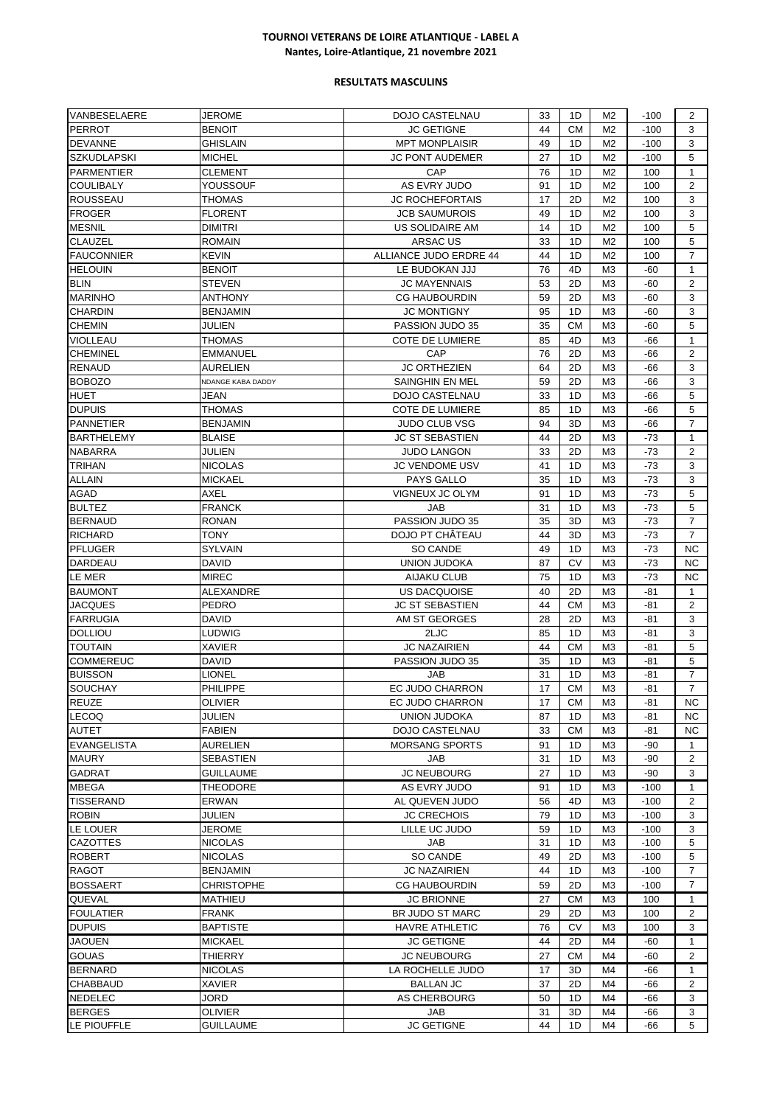| VANBESELAERE                     | JEROME                    | DOJO CASTELNAU         | 33       | 1D              | M2                   | $-100$       | 2                   |
|----------------------------------|---------------------------|------------------------|----------|-----------------|----------------------|--------------|---------------------|
| <b>PERROT</b>                    | <b>BENOIT</b>             | <b>JC GETIGNE</b>      | 44       | <b>CM</b>       | M <sub>2</sub>       | $-100$       | 3                   |
| <b>DEVANNE</b>                   | <b>GHISLAIN</b>           | <b>MPT MONPLAISIR</b>  | 49       | 1D              | M <sub>2</sub>       | $-100$       | 3                   |
| <b>SZKUDLAPSKI</b>               | <b>MICHEL</b>             | <b>JC PONT AUDEMER</b> | 27       | 1D              | M <sub>2</sub>       | $-100$       | 5                   |
| <b>PARMENTIER</b>                | <b>CLEMENT</b>            | CAP                    | 76       | 1D              | M <sub>2</sub>       | 100          | $\mathbf{1}$        |
| <b>COULIBALY</b>                 | YOUSSOUF                  | AS EVRY JUDO           | 91       | 1D              | M <sub>2</sub>       | 100          | $\overline{2}$      |
| <b>ROUSSEAU</b>                  | THOMAS                    | <b>JC ROCHEFORTAIS</b> | 17       | 2D              | M <sub>2</sub>       | 100          | 3                   |
| <b>FROGER</b>                    | <b>FLORENT</b>            | <b>JCB SAUMUROIS</b>   | 49       | 1D              | M <sub>2</sub>       | 100          | 3                   |
| <b>MESNIL</b>                    | <b>DIMITRI</b>            | US SOLIDAIRE AM        | 14       | 1D              | M <sub>2</sub>       | 100          | 5                   |
| <b>CLAUZEL</b>                   | <b>ROMAIN</b>             | ARSAC US               | 33       | 1D              | M <sub>2</sub>       | 100          | 5                   |
| <b>FAUCONNIER</b>                | KEVIN                     | ALLIANCE JUDO ERDRE 44 | 44       | 1D              | M <sub>2</sub>       | 100          | $\overline{7}$      |
| <b>HELOUIN</b>                   | <b>BENOIT</b>             | LE BUDOKAN JJJ         | 76       | 4D              | M <sub>3</sub>       | $-60$        | $\mathbf{1}$        |
| <b>BLIN</b>                      | <b>STEVEN</b>             | <b>JC MAYENNAIS</b>    | 53       | 2D              | M <sub>3</sub>       | $-60$        | 2                   |
| <b>MARINHO</b>                   | ANTHONY                   | <b>CG HAUBOURDIN</b>   | 59       | 2D              | M3                   | -60          | 3                   |
| <b>CHARDIN</b>                   | <b>BENJAMIN</b>           | <b>JC MONTIGNY</b>     | 95       | 1D              | M <sub>3</sub>       | $-60$        | 3                   |
| <b>CHEMIN</b>                    | JULIEN                    | PASSION JUDO 35        | 35       | <b>CM</b>       | M <sub>3</sub>       | $-60$        | 5                   |
| <b>VIOLLEAU</b>                  | <b>THOMAS</b>             | <b>COTE DE LUMIERE</b> | 85       | 4D              | M <sub>3</sub>       | -66          | $\mathbf{1}$        |
| <b>CHEMINEL</b>                  | <b>EMMANUEL</b>           | CAP                    | 76       | 2D              | M <sub>3</sub>       | -66          | 2                   |
| <b>RENAUD</b>                    | AURELIEN                  | <b>JC ORTHEZIEN</b>    | 64       | 2D              | M <sub>3</sub>       | $-66$        | 3                   |
| <b>BOBOZO</b>                    | NDANGE KABA DADDY         | <b>SAINGHIN EN MEL</b> | 59       | 2D              | M <sub>3</sub>       | $-66$        | 3                   |
| <b>HUET</b>                      | JEAN                      | <b>DOJO CASTELNAU</b>  | 33       | 1D              | M <sub>3</sub>       | $-66$        | 5                   |
| <b>DUPUIS</b>                    | THOMAS                    | <b>COTE DE LUMIERE</b> | 85       | 1D              | M <sub>3</sub>       | $-66$        | 5                   |
| <b>PANNETIER</b>                 | <b>BENJAMIN</b>           | <b>JUDO CLUB VSG</b>   | 94       | 3D              | M <sub>3</sub>       | -66          | $\overline{7}$      |
| <b>BARTHELEMY</b>                | <b>BLAISE</b>             | <b>JC ST SEBASTIEN</b> | 44       | 2D              | M <sub>3</sub>       | $-73$        | $\mathbf{1}$        |
| <b>NABARRA</b>                   | JULIEN                    | <b>JUDO LANGON</b>     | 33       | 2D              | M <sub>3</sub>       | $-73$        | $\overline{2}$      |
| <b>TRIHAN</b>                    | <b>NICOLAS</b>            | <b>JC VENDOME USV</b>  | 41       | 1D              | M3                   | $-73$        | 3                   |
| <b>ALLAIN</b>                    | <b>MICKAEL</b>            | PAYS GALLO             | 35       | 1D              | M <sub>3</sub>       | $-73$        | 3                   |
| AGAD                             | AXEL                      | VIGNEUX JC OLYM        | 91       | 1D              | M <sub>3</sub>       | -73          | 5                   |
| <b>BULTEZ</b>                    | FRANCK                    | JAB                    | 31       | 1D              | M <sub>3</sub>       | $-73$        | 5                   |
| <b>BERNAUD</b>                   | <b>RONAN</b>              | PASSION JUDO 35        | 35       | 3D              | M <sub>3</sub>       | $-73$        | $\overline{7}$      |
| <b>RICHARD</b>                   | TONY                      | DOJO PT CHÂTEAU        | 44       | 3D              | M <sub>3</sub>       | $-73$        | 7                   |
| <b>PFLUGER</b>                   | <b>SYLVAIN</b>            | SO CANDE               | 49       | 1D              | M <sub>3</sub>       | $-73$        | <b>NC</b>           |
| DARDEAU                          | DAVID                     | <b>UNION JUDOKA</b>    | 87       | <b>CV</b>       | M <sub>3</sub>       | $-73$        | <b>NC</b>           |
| LE MER                           | <b>MIREC</b>              | <b>AIJAKU CLUB</b>     | 75       | 1D              | M <sub>3</sub>       | $-73$        | <b>NC</b>           |
| <b>BAUMONT</b>                   | ALEXANDRE                 | <b>US DACQUOISE</b>    | 40       | 2D              | M <sub>3</sub>       | $-81$        | $\mathbf{1}$        |
| JACQUES                          | PEDRO                     | <b>JC ST SEBASTIEN</b> | 44       | <b>CM</b>       | M <sub>3</sub>       | $-81$        | 2                   |
| <b>FARRUGIA</b>                  | <b>DAVID</b>              | AM ST GEORGES          | 28       | 2D              | M <sub>3</sub>       | $-81$        | 3                   |
| <b>DOLLIOU</b>                   | LUDWIG                    | 2LJC                   | 85       | 1D              | M <sub>3</sub>       | $-81$        | 3                   |
| <b>TOUTAIN</b>                   | <b>XAVIER</b>             | <b>JC NAZAIRIEN</b>    | 44       | <b>CM</b>       | M <sub>3</sub>       | $-81$        | 5                   |
| <b>COMMEREUC</b>                 | DAVID                     | PASSION JUDO 35        | 35       | 1D              | M <sub>3</sub>       | -81          | 5                   |
| <b>BUISSON</b><br><b>SOUCHAY</b> | LIONEL<br><b>PHILIPPE</b> | JAB<br>EC JUDO CHARRON | 31<br>17 | 1D<br><b>CM</b> | M3<br>M <sub>3</sub> | -81<br>$-81$ | 7<br>$\overline{7}$ |
| <b>REUZE</b>                     | <b>OLIVIER</b>            | EC JUDO CHARRON        | 17       | CМ              |                      | -81          |                     |
| <b>LECOQ</b>                     | JULIEN                    | UNION JUDOKA           | 87       | 1D              | M3<br>M <sub>3</sub> | -81          | NC<br>NC.           |
| <b>AUTET</b>                     | <b>FABIEN</b>             | <b>DOJO CASTELNAU</b>  | 33       | CМ              | M3                   | -81          | ΝC                  |
| <b>EVANGELISTA</b>               | <b>AURELIEN</b>           | <b>MORSANG SPORTS</b>  | 91       | 1D              | M3                   | $-90$        | 1                   |
| <b>MAURY</b>                     | SEBASTIEN                 | JAB                    | 31       | 1D              | M <sub>3</sub>       | -90          | 2                   |
| <b>GADRAT</b>                    | <b>GUILLAUME</b>          | <b>JC NEUBOURG</b>     | 27       | 1D              | M <sub>3</sub>       | $-90$        | 3                   |
| <b>MBEGA</b>                     | <b>THEODORE</b>           | AS EVRY JUDO           | 91       | 1D              | M <sub>3</sub>       | $-100$       | $\mathbf{1}$        |
| TISSERAND                        | ERWAN                     | AL QUEVEN JUDO         | 56       | 4D              | M3                   | $-100$       | 2                   |
| <b>ROBIN</b>                     | JULIEN                    | <b>JC CRECHOIS</b>     | 79       | 1D              | M <sub>3</sub>       | $-100$       | 3                   |
| LE LOUER                         | JEROME                    | LILLE UC JUDO          | 59       | 1D              | M <sub>3</sub>       | $-100$       | 3                   |
| <b>CAZOTTES</b>                  | <b>NICOLAS</b>            | JAB                    | 31       | 1D              | M <sub>3</sub>       | $-100$       | 5                   |
| ROBERT                           | NICOLAS                   | SO CANDE               | 49       | 2D              | M <sub>3</sub>       | $-100$       | 5                   |
| <b>RAGOT</b>                     | <b>BENJAMIN</b>           | JC NAZAIRIEN           | 44       | 1D              | M <sub>3</sub>       | $-100$       | $\overline{7}$      |
| <b>BOSSAERT</b>                  | CHRISTOPHE                | <b>CG HAUBOURDIN</b>   | 59       | 2D              | M <sub>3</sub>       | $-100$       | $\overline{7}$      |
| QUEVAL                           | MATHIEU                   | <b>JC BRIONNE</b>      | 27       | <b>CM</b>       | M <sub>3</sub>       | 100          | $\mathbf{1}$        |
| <b>FOULATIER</b>                 | FRANK                     | BR JUDO ST MARC        | 29       | 2D              | M <sub>3</sub>       | 100          | 2                   |
| <b>DUPUIS</b>                    | <b>BAPTISTE</b>           | HAVRE ATHLETIC         | 76       | CV              | M3                   | 100          | 3                   |
| JAOUEN                           | <b>MICKAEL</b>            | <b>JC GETIGNE</b>      | 44       | 2D              | M4                   | -60          | 1                   |
| <b>GOUAS</b>                     | <b>THIERRY</b>            | <b>JC NEUBOURG</b>     | 27       | <b>CM</b>       | M4                   | -60          | 2                   |
| <b>BERNARD</b>                   | <b>NICOLAS</b>            | LA ROCHELLE JUDO       | 17       | 3D              | M4                   | $-66$        | $\mathbf{1}$        |
| <b>CHABBAUD</b>                  | XAVIER                    | <b>BALLAN JC</b>       | 37       | 2D              | M4                   | -66          | 2                   |
| NEDELEC                          | JORD                      | AS CHERBOURG           | 50       | 1D              | M4                   | -66          | 3                   |
| <b>BERGES</b>                    | OLIVIER                   | JAB                    | 31       | 3D              | M4                   | -66          | 3                   |
| LE PIOUFFLE                      | <b>GUILLAUME</b>          | <b>JC GETIGNE</b>      | 44       | 1D              | M4                   | -66          | 5                   |
|                                  |                           |                        |          |                 |                      |              |                     |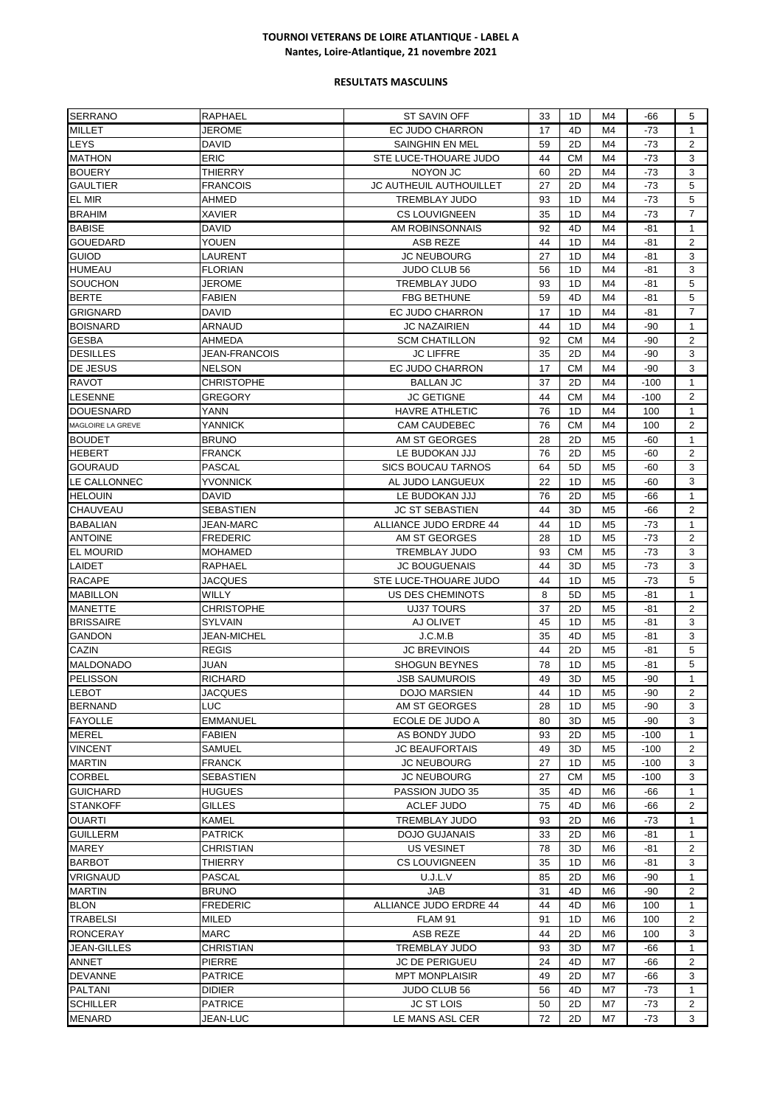| <b>SERRANO</b>                        | <b>RAPHAEL</b>                  | ST SAVIN OFF                            | 33       | 1D        | M4             | -66          | 5                   |
|---------------------------------------|---------------------------------|-----------------------------------------|----------|-----------|----------------|--------------|---------------------|
| <b>MILLET</b>                         | JEROME                          | <b>EC JUDO CHARRON</b>                  | 17       | 4D        | M4             | $-73$        | $\mathbf{1}$        |
| <b>LEYS</b>                           | <b>DAVID</b>                    | SAINGHIN EN MEL                         | 59       | 2D        | M4             | $-73$        | 2                   |
| <b>MATHON</b>                         | <b>ERIC</b>                     | STE LUCE-THOUARE JUDO                   | 44       | <b>CM</b> | M4             | $-73$        | 3                   |
| <b>BOUERY</b>                         | THIERRY                         | NOYON JC                                | 60       | 2D        | M4             | $-73$        | 3                   |
| <b>GAULTIER</b>                       | FRANCOIS                        | JC AUTHEUIL AUTHOUILLET                 | 27       | 2D        | M4             | -73          | 5                   |
| EL MIR                                | AHMED                           | <b>TREMBLAY JUDO</b>                    | 93       | 1D        | M4             | $-73$        | 5                   |
| <b>BRAHIM</b>                         | <b>XAVIER</b>                   | <b>CS LOUVIGNEEN</b>                    | 35       | 1D        | M4             | $-73$        | $\overline{7}$      |
| <b>BABISE</b>                         | <b>DAVID</b>                    | AM ROBINSONNAIS                         | 92       | 4D        | M4             | $-81$        | $\mathbf{1}$        |
| <b>GOUEDARD</b>                       | YOUEN                           | ASB REZE                                | 44       | 1D        | M4             | -81          | $\overline{2}$      |
| <b>GUIOD</b>                          | LAURENT                         | <b>JC NEUBOURG</b>                      | 27       | 1D        | M4             | -81          | 3                   |
| <b>HUMEAU</b>                         | <b>FLORIAN</b>                  | <b>JUDO CLUB 56</b>                     | 56       | 1D        | M4             | $-81$        | 3                   |
| <b>SOUCHON</b>                        | JEROME                          | <b>TREMBLAY JUDO</b>                    | 93       | 1D        | M4             | $-81$        | 5                   |
| <b>BERTE</b>                          | <b>FABIEN</b>                   | <b>FBG BETHUNE</b>                      | 59       | 4D        | M4             | $-81$        | 5                   |
| <b>GRIGNARD</b>                       | David                           | EC JUDO CHARRON                         | 17       | 1D        | M4             | -81          | 7                   |
| <b>BOISNARD</b>                       | ARNAUD                          | <b>JC NAZAIRIEN</b>                     | 44       | 1D        | M4             | $-90$        | 1                   |
| <b>GESBA</b>                          | AHMEDA                          | <b>SCM CHATILLON</b>                    | 92       | <b>CM</b> | M4             | $-90$        | 2                   |
| <b>DESILLES</b>                       | JEAN-FRANCOIS                   | <b>JC LIFFRE</b>                        | 35       | 2D        | M4             | $-90$        | 3                   |
| DE JESUS                              | <b>NELSON</b>                   | EC JUDO CHARRON                         | 17       | <b>CM</b> | M4             | $-90$        | 3                   |
| <b>RAVOT</b>                          | <b>CHRISTOPHE</b>               | <b>BALLAN JC</b>                        | 37       | 2D        | M4             | $-100$       | 1                   |
| LESENNE                               | <b>GREGORY</b>                  | <b>JC GETIGNE</b>                       | 44       | <b>CM</b> | M4             | $-100$       | $\overline{2}$      |
| <b>DOUESNARD</b>                      | YANN                            | <b>HAVRE ATHLETIC</b>                   | 76       | 1D        | M4             | 100          | $\mathbf{1}$        |
| MAGLOIRE LA GREVE                     | YANNICK                         | <b>CAM CAUDEBEC</b>                     | 76       | <b>CM</b> | M4             | 100          | 2                   |
| <b>BOUDET</b>                         | <b>BRUNO</b>                    | AM ST GEORGES                           | 28       | 2D        | M <sub>5</sub> | $-60$        | 1                   |
| <b>HEBERT</b>                         | FRANCK                          | LE BUDOKAN JJJ                          | 76       | 2D        | M <sub>5</sub> | -60          | 2                   |
| <b>GOURAUD</b>                        | <b>PASCAL</b>                   | <b>SICS BOUCAU TARNOS</b>               | 64       | 5D        | M <sub>5</sub> | -60          | 3                   |
| LE CALLONNEC                          | YVONNICK                        | AL JUDO LANGUEUX                        | 22       | 1D        | M <sub>5</sub> | $-60$        | 3                   |
| <b>HELOUIN</b>                        | <b>DAVID</b>                    | LE BUDOKAN JJJ                          | 76       | 2D        | M <sub>5</sub> | -66          | $\mathbf{1}$        |
| <b>CHAUVEAU</b>                       | <b>SEBASTIEN</b>                | <b>JC ST SEBASTIEN</b>                  | 44       | 3D        | M <sub>5</sub> | -66          | 2                   |
| <b>BABALIAN</b>                       | JEAN-MARC                       | ALLIANCE JUDO ERDRE 44                  | 44       | 1D        | M <sub>5</sub> | -73          | 1                   |
| <b>ANTOINE</b>                        | <b>FREDERIC</b>                 | AM ST GEORGES                           | 28       | 1D        | M <sub>5</sub> | $-73$        | $\overline{2}$      |
| <b>EL MOURID</b>                      | <b>MOHAMED</b>                  | <b>TREMBLAY JUDO</b>                    | 93       | <b>CM</b> | M <sub>5</sub> | $-73$        | 3                   |
| LAIDET                                | RAPHAEL                         | <b>JC BOUGUENAIS</b>                    | 44       | 3D        | M <sub>5</sub> | $-73$        | 3                   |
| <b>RACAPE</b>                         | JACQUES                         | STE LUCE-THOUARE JUDO                   | 44       | 1D        | M <sub>5</sub> | -73          | 5                   |
| <b>MABILLON</b>                       | <b>WILLY</b>                    | US DES CHEMINOTS                        | 8        | 5D        | M <sub>5</sub> | -81          | $\mathbf{1}$        |
| <b>MANETTE</b>                        | <b>CHRISTOPHE</b>               | <b>UJ37 TOURS</b>                       | 37       | 2D        | M <sub>5</sub> | $-81$        | 2                   |
| <b>BRISSAIRE</b>                      | <b>SYLVAIN</b>                  | AJ OLIVET                               | 45       | 1D        | M <sub>5</sub> | -81          | 3                   |
| <b>GANDON</b>                         | <b>JEAN-MICHEL</b>              | J.C.M.B                                 | 35       | 4D        | M <sub>5</sub> | -81          | 3                   |
| CAZIN                                 | <b>REGIS</b>                    | <b>JC BREVINOIS</b>                     | 44       | 2D        | M <sub>5</sub> | -81          | 5                   |
| <b>MALDONADO</b>                      | JUAN                            | <b>SHOGUN BEYNES</b>                    | 78       | 1D        | M <sub>5</sub> | -81          | 5                   |
| PELISSON                              | <b>RICHARD</b>                  | <b>JSB SAUMUROIS</b>                    | 49       | 3D        | M <sub>5</sub> | -90          | 1                   |
| <b>LEBOT</b>                          | <b>JACQUES</b>                  | <b>DOJO MARSIEN</b>                     | 44       | 1D        | M <sub>5</sub> | $-90$        | $\overline{2}$      |
| <b>BERNAND</b>                        | LUC                             | AM ST GEORGES                           | 28       | 1D        | M5             | -90          | 3                   |
| <b>FAYOLLE</b>                        | <b>EMMANUEL</b>                 | ECOLE DE JUDO A                         | 80       | 3D        | M <sub>5</sub> | -90          | 3                   |
| <b>MEREL</b>                          | <b>FABIEN</b>                   | AS BONDY JUDO                           | 93       | 2D        | M <sub>5</sub> | $-100$       | $\mathbf{1}$        |
| <b>VINCENT</b>                        | <b>SAMUEL</b>                   | <b>JC BEAUFORTAIS</b>                   | 49       | 3D        | M <sub>5</sub> | $-100$       | $\mathbf{2}$        |
| <b>MARTIN</b>                         | <b>FRANCK</b>                   | <b>JC NEUBOURG</b>                      | 27       | 1D        | M <sub>5</sub> | $-100$       | 3                   |
| <b>CORBEL</b>                         | <b>SEBASTIEN</b>                | <b>JC NEUBOURG</b>                      | 27       | СM        | M <sub>5</sub> | $-100$       | 3                   |
| <b>GUICHARD</b>                       | <b>HUGUES</b>                   | PASSION JUDO 35                         | 35       | 4D        | M6             | -66          | 1                   |
| <b>STANKOFF</b>                       | GILLES                          | ACLEF JUDO                              | 75       | 4D        | M <sub>6</sub> | -66          | 2                   |
| <b>OUARTI</b>                         | KAMEL                           | <b>TREMBLAY JUDO</b>                    | 93       | 2D        | M6             | $-73$        | 1                   |
| <b>GUILLERM</b>                       | <b>PATRICK</b>                  | <b>DOJO GUJANAIS</b>                    | 33       | 2D        | M6             | -81          | 1                   |
| <b>MAREY</b>                          | CHRISTIAN                       | US VESINET                              | 78       | 3D        | M6             | -81          | 2                   |
| <b>BARBOT</b>                         | THIERRY                         | <b>CS LOUVIGNEEN</b>                    | 35       | 1D        | M <sub>6</sub> | -81          | 3                   |
| <b>VRIGNAUD</b>                       | <b>PASCAL</b>                   | U.J.L.V                                 | 85       | 2D        | M <sub>6</sub> | $-90$        | $\mathbf{1}$        |
| <b>MARTIN</b>                         | <b>BRUNO</b>                    | JAB                                     | 31       | 4D        | M6             | $-90$        | 2                   |
| <b>BLON</b>                           | <b>FREDERIC</b>                 | ALLIANCE JUDO ERDRE 44                  | 44       | 4D        | M6             | 100          | 1                   |
| TRABELSI                              | MILED                           | FLAM 91                                 | 91       | 1D        | M6             | 100          | 2                   |
|                                       |                                 |                                         | 44       | 2D        |                |              | 3                   |
| <b>RONCERAY</b><br><b>JEAN-GILLES</b> | <b>MARC</b><br><b>CHRISTIAN</b> | <b>ASB REZE</b><br><b>TREMBLAY JUDO</b> | 93       | 3D        | M6<br>M7       | 100<br>$-66$ | $\mathbf{1}$        |
| ANNET                                 | PIERRE                          | JC DE PERIGUEU                          | 24       | 4D        | M7             | $-66$        | $\mathbf{2}$        |
|                                       |                                 |                                         |          |           |                |              | 3                   |
| <b>DEVANNE</b>                        | <b>PATRICE</b>                  | <b>MPT MONPLAISIR</b>                   | 49       | 2D<br>4D  | M7<br>M7       | -66          |                     |
| PALTANI<br><b>SCHILLER</b>            | <b>DIDIER</b><br><b>PATRICE</b> | JUDO CLUB 56<br><b>JC ST LOIS</b>       | 56<br>50 | 2D        | M7             | -73          | 1<br>$\overline{2}$ |
|                                       |                                 |                                         |          |           |                | -73          | 3                   |
| <b>MENARD</b>                         | JEAN-LUC                        | LE MANS ASL CER                         | 72       | 2D        | M7             | -73          |                     |